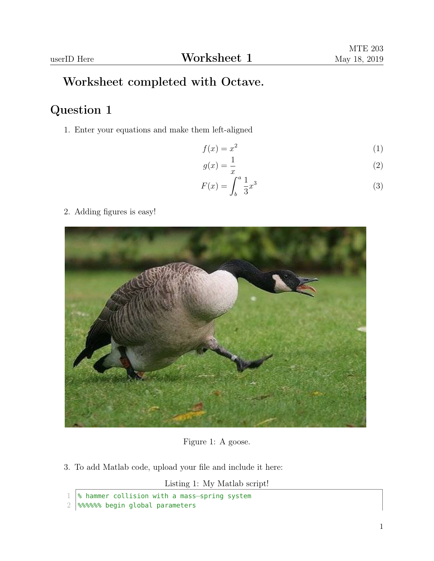## Worksheet completed with Octave.

## Question 1

1. Enter your equations and make them left-aligned

$$
f(x) = x^2 \tag{1}
$$

$$
g(x) = \frac{1}{x} \tag{2}
$$

$$
F(x) = \int_{b}^{a} \frac{1}{3}x^{3}
$$
 (3)

2. Adding figures is easy!



Figure 1: A goose.

3. To add Matlab code, upload your file and include it here:

Listing 1: My Matlab script!

<sup>1</sup> % hammer collision with a mass−spring system

<sup>2 8888888</sup> begin global parameters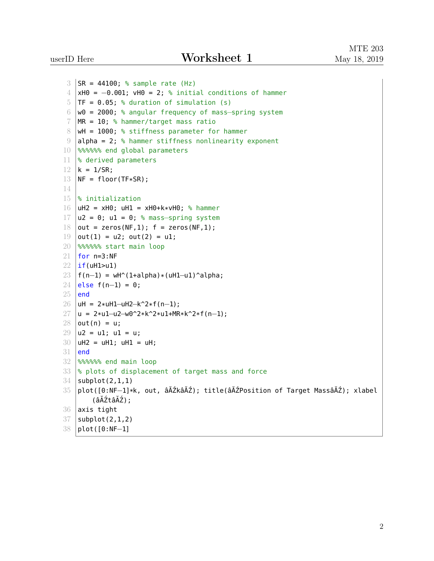```
3 SR = 44100; % sample rate (Hz)
4 \timesH0 = -0.001; vH0 = 2; % initial conditions of hammer
5 TF = 0.05; % duration of simulation (s)
6 w0 = 2000; % angular frequency of mass−spring system
7 | MR = 10; % hammer/target mass ratio
8 \midwH = 1000; % stiffness parameter for hammer
9 alpha = 2; % hammer stiffness nonlinearity exponent
10 %%%%%% end global parameters
11 |% derived parameters
12 \mid k = 1/SR;13 NF = floor(TF*SR);
14
15 % initialization
16 uH2 = xH0; uH1 = xH0+k*vH0; % hammer
17 |u2 = 0; u1 = 0; % mass-spring system
18 out = zeros(NF,1); f = zeros(NF,1);
19 \mid out(1) = u2; out(2) = u1;
20 %%%%%% start main loop
21 | for n=3:NF22 \vert if(uH1>u1)
23 | f(n-1) = wH^(1+a1pha)*(uH1-u1)^aalpha;
24 else f(n−1) = 0;
25 end
26 | uH = 2*uH1–uH2–k^2*f(n–1);
27 |u = 2*u1–u2–w0^2*k^2*u1+MR*k^2*f(n–1);
28 | out(n) = u;
29 \mid u2 = u1; u1 = u;30 \mid uH2 = uH1; uH1 = uH;
31 end
32 %%%%%% end main loop
33 % plots of displacement of target mass and force
34 subplot(2,1,1)
35 plot([0:NF-1]*k, out, âĂŹkâĂŹ); title(âĂŹPosition of Target MassâĂŹ); xlabel
       (âĂŹtâĂŹ);
36 axis tight
37 subplot(2,1,2)
38 plot([0:NF−1]
```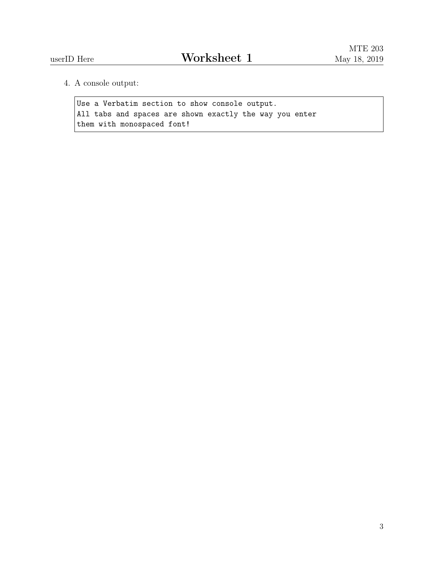4. A console output:

Use a Verbatim section to show console output. All tabs and spaces are shown exactly the way you enter them with monospaced font!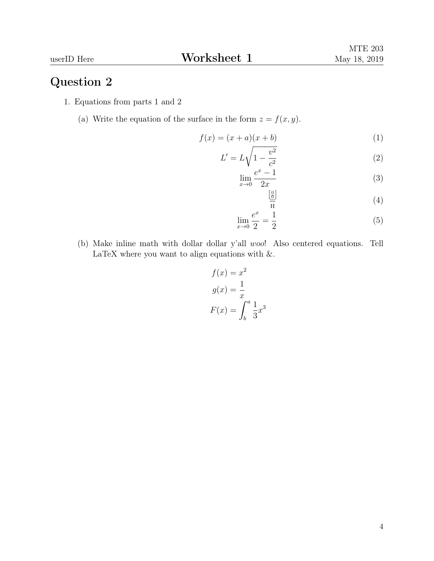## Question 2

- 1. Equations from parts 1 and 2
	- (a) Write the equation of the surface in the form  $z = f(x, y)$ .

$$
f(x) = (x+a)(x+b)
$$
\n<sup>(1)</sup>

$$
L' = L\sqrt{1 - \frac{v^2}{c^2}}
$$
 (2)

$$
\lim_{x \to 0} \frac{e^x - 1}{2x} \tag{3}
$$

$$
\frac{\left[\frac{0}{0}\right]}{\overline{H}}\tag{4}
$$

$$
\lim_{x \to 0} \frac{e^x}{2} = \frac{1}{2}
$$
\n(5)

(b) Make inline math with dollar dollar y'all woo! Also centered equations. Tell LaTeX where you want to align equations with  $\&$ .

$$
f(x) = x2
$$

$$
g(x) = \frac{1}{x}
$$

$$
F(x) = \int_b^a \frac{1}{3}x^3
$$